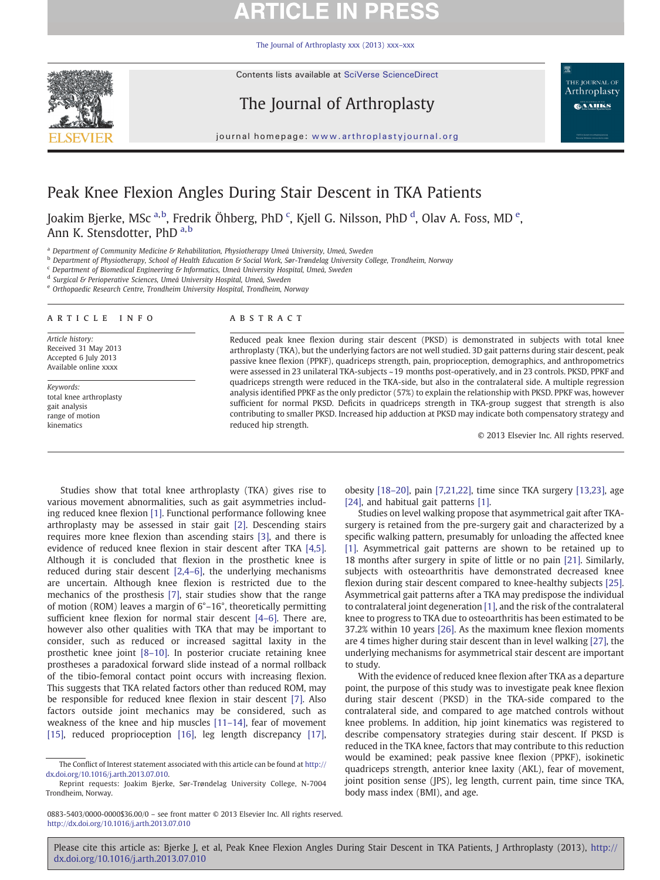# **ARTICLE IN PRESS**

[The Journal of Arthroplasty xxx \(2013\) xxx](http://dx.doi.org/10.1016/j.arth.2013.07.010)–xxx

Contents lists available at SciVerse ScienceDirect



The Journal of Arthroplasty

THE JOURNAL OF Arthroplasty **CAAHKS** 

journal homepage: www.arthroplastyjournal.org

# Peak Knee Flexion Angles During Stair Descent in TKA Patients

Joakim Bjerke, MSc <sup>a,b</sup>, Fredrik Öhberg, PhD <sup>c</sup>, Kjell G. Nilsson, PhD <sup>d</sup>, Olav A. Foss, MD <sup>e</sup>, Ann K. Stensdotter, PhD<sup>a,b</sup>

<sup>a</sup> Department of Community Medicine & Rehabilitation, Physiotherapy Umeå University, Umeå, Sweden

<sup>b</sup> Department of Physiotherapy, School of Health Education & Social Work, Sør-Trøndelag University College, Trondheim, Norway

<sup>c</sup> Department of Biomedical Engineering & Informatics, Umeå University Hospital, Umeå, Sweden

<sup>d</sup> Surgical & Perioperative Sciences, Umeå University Hospital, Umeå, Sweden

<sup>e</sup> Orthopaedic Research Centre, Trondheim University Hospital, Trondheim, Norway

### article info abstract

Article history: Received 31 May 2013 Accepted 6 July 2013 Available online xxxx

Keywords: total knee arthroplasty gait analysis range of motion kinematics

Reduced peak knee flexion during stair descent (PKSD) is demonstrated in subjects with total knee arthroplasty (TKA), but the underlying factors are not well studied. 3D gait patterns during stair descent, peak passive knee flexion (PPKF), quadriceps strength, pain, proprioception, demographics, and anthropometrics were assessed in 23 unilateral TKA-subjects ~19 months post-operatively, and in 23 controls. PKSD, PPKF and quadriceps strength were reduced in the TKA-side, but also in the contralateral side. A multiple regression analysis identified PPKF as the only predictor (57%) to explain the relationship with PKSD. PPKF was, however sufficient for normal PKSD. Deficits in quadriceps strength in TKA-group suggest that strength is also contributing to smaller PKSD. Increased hip adduction at PKSD may indicate both compensatory strategy and reduced hip strength.

© 2013 Elsevier Inc. All rights reserved.

Studies show that total knee arthroplasty (TKA) gives rise to various movement abnormalities, such as gait asymmetries including reduced knee flexion [\[1\].](#page-3-0) Functional performance following knee arthroplasty may be assessed in stair gait [\[2\]](#page-3-0). Descending stairs requires more knee flexion than ascending stairs [\[3\]](#page-3-0), and there is evidence of reduced knee flexion in stair descent after TKA [\[4,5\].](#page-3-0) Although it is concluded that flexion in the prosthetic knee is reduced during stair descent [\[2,4](#page-3-0)–6], the underlying mechanisms are uncertain. Although knee flexion is restricted due to the mechanics of the prosthesis [\[7\],](#page-3-0) stair studies show that the range of motion (ROM) leaves a margin of 6°–16°, theoretically permitting sufficient knee flexion for normal stair descent [4–[6\].](#page-3-0) There are, however also other qualities with TKA that may be important to consider, such as reduced or increased sagittal laxity in the prosthetic knee joint [8–[10\].](#page-3-0) In posterior cruciate retaining knee prostheses a paradoxical forward slide instead of a normal rollback of the tibio-femoral contact point occurs with increasing flexion. This suggests that TKA related factors other than reduced ROM, may be responsible for reduced knee flexion in stair descent [\[7\]](#page-3-0). Also factors outside joint mechanics may be considered, such as weakness of the knee and hip muscles [11–[14\]](#page-3-0), fear of movement [\[15\]](#page-3-0), reduced proprioception [\[16\],](#page-3-0) leg length discrepancy [\[17\],](#page-3-0)

obesity [18–[20\]](#page-3-0), pain [\[7,21,22\]](#page-3-0), time since TKA surgery [\[13,23\]](#page-3-0), age [\[24\]](#page-3-0), and habitual gait patterns [\[1\]](#page-3-0).

Studies on level walking propose that asymmetrical gait after TKAsurgery is retained from the pre-surgery gait and characterized by a specific walking pattern, presumably for unloading the affected knee [\[1\].](#page-3-0) Asymmetrical gait patterns are shown to be retained up to 18 months after surgery in spite of little or no pain [\[21\]](#page-3-0). Similarly, subjects with osteoarthritis have demonstrated decreased knee flexion during stair descent compared to knee-healthy subjects [\[25\].](#page-3-0) Asymmetrical gait patterns after a TKA may predispose the individual to contralateral joint degeneration [\[1\],](#page-3-0) and the risk of the contralateral knee to progress to TKA due to osteoarthritis has been estimated to be 37.2% within 10 years [\[26\].](#page-3-0) As the maximum knee flexion moments are 4 times higher during stair descent than in level walking [\[27\],](#page-3-0) the underlying mechanisms for asymmetrical stair descent are important to study.

With the evidence of reduced knee flexion after TKA as a departure point, the purpose of this study was to investigate peak knee flexion during stair descent (PKSD) in the TKA-side compared to the contralateral side, and compared to age matched controls without knee problems. In addition, hip joint kinematics was registered to describe compensatory strategies during stair descent. If PKSD is reduced in the TKA knee, factors that may contribute to this reduction would be examined; peak passive knee flexion (PPKF), isokinetic quadriceps strength, anterior knee laxity (AKL), fear of movement, joint position sense (JPS), leg length, current pain, time since TKA, body mass index (BMI), and age.

The Conflict of Interest statement associated with this article can be found at [http://](http://dx.doi.org/10.1016/j.arth.2013.07.010) [dx.doi.org/10.1016/j.arth.2013.07.010](http://dx.doi.org/10.1016/j.arth.2013.07.010).

Reprint requests: Joakim Bjerke, Sør-Trøndelag University College, N-7004 Trondheim, Norway.

<sup>0883-5403/0000-0000\$36.00/0</sup> – see front matter © 2013 Elsevier Inc. All rights reserved. <http://dx.doi.org/10.1016/j.arth.2013.07.010>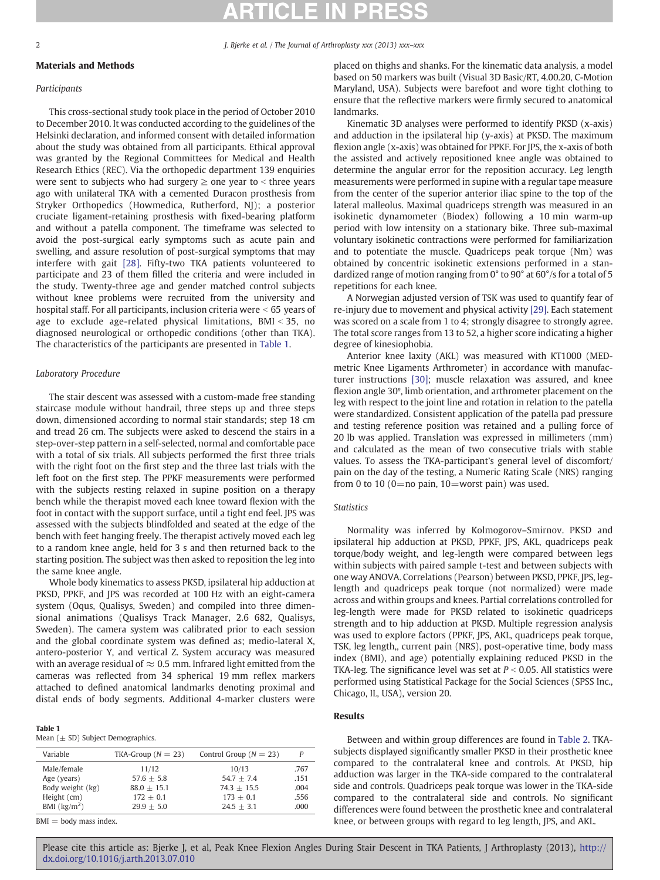# Materials and Methods

# Participants

This cross-sectional study took place in the period of October 2010 to December 2010. It was conducted according to the guidelines of the Helsinki declaration, and informed consent with detailed information about the study was obtained from all participants. Ethical approval was granted by the Regional Committees for Medical and Health Research Ethics (REC). Via the orthopedic department 139 enquiries were sent to subjects who had surgery  $\geq$  one year to  $\leq$  three years ago with unilateral TKA with a cemented Duracon prosthesis from Stryker Orthopedics (Howmedica, Rutherford, NJ); a posterior cruciate ligament-retaining prosthesis with fixed-bearing platform and without a patella component. The timeframe was selected to avoid the post-surgical early symptoms such as acute pain and swelling, and assure resolution of post-surgical symptoms that may interfere with gait [\[28\].](#page-3-0) Fifty-two TKA patients volunteered to participate and 23 of them filled the criteria and were included in the study. Twenty-three age and gender matched control subjects without knee problems were recruited from the university and hospital staff. For all participants, inclusion criteria were  $<$  65 years of age to exclude age-related physical limitations,  $BMI < 35$ , no diagnosed neurological or orthopedic conditions (other than TKA). The characteristics of the participants are presented in Table 1.

# Laboratory Procedure

The stair descent was assessed with a custom-made free standing staircase module without handrail, three steps up and three steps down, dimensioned according to normal stair standards; step 18 cm and tread 26 cm. The subjects were asked to descend the stairs in a step-over-step pattern in a self-selected, normal and comfortable pace with a total of six trials. All subjects performed the first three trials with the right foot on the first step and the three last trials with the left foot on the first step. The PPKF measurements were performed with the subjects resting relaxed in supine position on a therapy bench while the therapist moved each knee toward flexion with the foot in contact with the support surface, until a tight end feel. JPS was assessed with the subjects blindfolded and seated at the edge of the bench with feet hanging freely. The therapist actively moved each leg to a random knee angle, held for 3 s and then returned back to the starting position. The subject was then asked to reposition the leg into the same knee angle.

Whole body kinematics to assess PKSD, ipsilateral hip adduction at PKSD, PPKF, and JPS was recorded at 100 Hz with an eight-camera system (Oqus, Qualisys, Sweden) and compiled into three dimensional animations (Qualisys Track Manager, 2.6 682, Qualisys, Sweden). The camera system was calibrated prior to each session and the global coordinate system was defined as; medio-lateral X, antero-posterior Y, and vertical Z. System accuracy was measured with an average residual of  $\approx$  0.5 mm. Infrared light emitted from the cameras was reflected from 34 spherical 19 mm reflex markers attached to defined anatomical landmarks denoting proximal and distal ends of body segments. Additional 4-marker clusters were

### Table 1

Mean  $(\pm$  SD) Subject Demographics.

| Variable                                        | $TKA-Group (N = 23)$ | Control Group ( $N = 23$ ) |      |
|-------------------------------------------------|----------------------|----------------------------|------|
| Male/female                                     | 11/12                | 10/13                      | .767 |
| Age (years)                                     | $57.6 + 5.8$         | $54.7 + 7.4$               | .151 |
| Body weight (kg)                                | $88.0 + 15.1$        | $74.3 + 15.5$              | .004 |
| Height (cm)                                     | $172 + 0.1$          | $173 + 0.1$                | .556 |
| BMI $\left(\frac{\text{kg}}{\text{m}^2}\right)$ | $29.9 + 5.0$         | $24.5 + 3.1$               | .000 |
| .                                               |                      |                            |      |

 $BMI = body$  mass index.

placed on thighs and shanks. For the kinematic data analysis, a model based on 50 markers was built (Visual 3D Basic/RT, 4.00.20, C-Motion Maryland, USA). Subjects were barefoot and wore tight clothing to ensure that the reflective markers were firmly secured to anatomical landmarks.

Kinematic 3D analyses were performed to identify PKSD (x-axis) and adduction in the ipsilateral hip (y-axis) at PKSD. The maximum flexion angle (x-axis) was obtained for PPKF. For JPS, the x-axis of both the assisted and actively repositioned knee angle was obtained to determine the angular error for the reposition accuracy. Leg length measurements were performed in supine with a regular tape measure from the center of the superior anterior iliac spine to the top of the lateral malleolus. Maximal quadriceps strength was measured in an isokinetic dynamometer (Biodex) following a 10 min warm-up period with low intensity on a stationary bike. Three sub-maximal voluntary isokinetic contractions were performed for familiarization and to potentiate the muscle. Quadriceps peak torque (Nm) was obtained by concentric isokinetic extensions performed in a standardized range of motion ranging from 0° to 90° at 60°/s for a total of 5 repetitions for each knee.

A Norwegian adjusted version of TSK was used to quantify fear of re-injury due to movement and physical activity [\[29\].](#page-3-0) Each statement was scored on a scale from 1 to 4; strongly disagree to strongly agree. The total score ranges from 13 to 52, a higher score indicating a higher degree of kinesiophobia.

Anterior knee laxity (AKL) was measured with KT1000 (MEDmetric Knee Ligaments Arthrometer) in accordance with manufacturer instructions [\[30\]](#page-4-0); muscle relaxation was assured, and knee flexion angle 30º, limb orientation, and arthrometer placement on the leg with respect to the joint line and rotation in relation to the patella were standardized. Consistent application of the patella pad pressure and testing reference position was retained and a pulling force of 20 lb was applied. Translation was expressed in millimeters (mm) and calculated as the mean of two consecutive trials with stable values. To assess the TKA-participant's general level of discomfort/ pain on the day of the testing, a Numeric Rating Scale (NRS) ranging from 0 to 10 (0=no pain, 10=worst pain) was used.

## **Statistics**

Normality was inferred by Kolmogorov–Smirnov. PKSD and ipsilateral hip adduction at PKSD, PPKF, JPS, AKL, quadriceps peak torque/body weight, and leg-length were compared between legs within subjects with paired sample t-test and between subjects with one way ANOVA. Correlations (Pearson) between PKSD, PPKF, JPS, leglength and quadriceps peak torque (not normalized) were made across and within groups and knees. Partial correlations controlled for leg-length were made for PKSD related to isokinetic quadriceps strength and to hip adduction at PKSD. Multiple regression analysis was used to explore factors (PPKF, JPS, AKL, quadriceps peak torque, TSK, leg length,, current pain (NRS), post-operative time, body mass index (BMI), and age) potentially explaining reduced PKSD in the TKA-leg. The significance level was set at  $P < 0.05$ . All statistics were performed using Statistical Package for the Social Sciences (SPSS Inc., Chicago, IL, USA), version 20.

## Results

Between and within group differences are found in [Table 2](#page-2-0). TKAsubjects displayed significantly smaller PKSD in their prosthetic knee compared to the contralateral knee and controls. At PKSD, hip adduction was larger in the TKA-side compared to the contralateral side and controls. Quadriceps peak torque was lower in the TKA-side compared to the contralateral side and controls. No significant differences were found between the prosthetic knee and contralateral knee, or between groups with regard to leg length, JPS, and AKL.

Please cite this article as: Bjerke J, et al, Peak Knee Flexion Angles During Stair Descent in TKA Patients, J Arthroplasty (2013), [http://](http://dx.doi.org/10.1016/j.arth.2013.07.010) [dx.doi.org/10.1016/j.arth.2013.07.010](http://dx.doi.org/10.1016/j.arth.2013.07.010)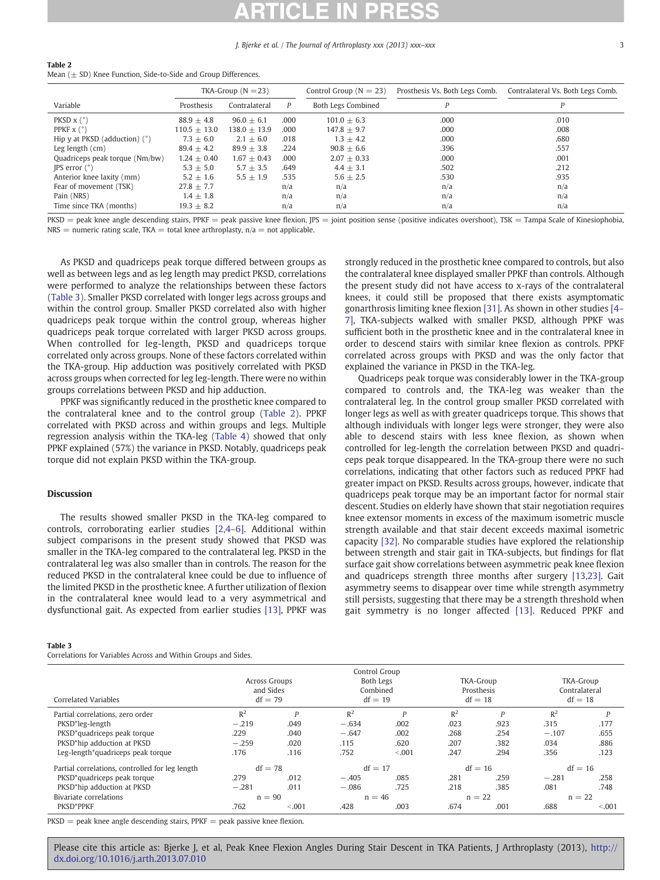### <span id="page-2-0"></span>Table 2

Mean  $(\pm$  SD) Knee Function, Side-to-Side and Group Differences.

|                                 | $TKA-Group (N = 23)$ |                 | Control Group ( $N = 23$ ) | Prosthesis Vs. Both Legs Comb. | Contralateral Vs. Both Legs Comb. |      |
|---------------------------------|----------------------|-----------------|----------------------------|--------------------------------|-----------------------------------|------|
| Variable                        | Prosthesis           | Contralateral   | P                          | Both Legs Combined             | D                                 | D    |
| PKSD X (°)                      | $88.9 + 4.8$         | $96.0 \pm 6.1$  | .000                       | $101.0 + 6.3$                  | .000                              | .010 |
| PPKF $x$ ( $\degree$ )          | $110.5 + 13.0$       | $138.0 + 13.9$  | .000                       | $147.8 + 9.7$                  | .000                              | .008 |
| Hip y at PKSD (adduction) $(°)$ | $7.3 + 6.0$          | $2.1 \pm 6.0$   | .018                       | $1.3 + 4.2$                    | .000                              | .680 |
| Leg length $(cm)$               | $89.4 + 4.2$         | $89.9 + 3.8$    | .224                       | $90.8 + 6.6$                   | .396                              | .557 |
| Quadriceps peak torque (Nm/bw)  | $1.24 \pm 0.40$      | $1.67 \pm 0.43$ | .000                       | $2.07 + 0.33$                  | .000                              | .001 |
| [PS error (°)]                  | $5.3 \pm 5.0$        | $5.7 \pm 3.5$   | .649                       | $4.4 \pm 3.1$                  | .502                              | .212 |
| Anterior knee laxity (mm)       | $5.2 \pm 1.6$        | $5.5 \pm 1.9$   | .535                       | $5.6 + 2.5$                    | .530                              | .935 |
| Fear of movement (TSK)          | $27.8 + 7.7$         |                 | n/a                        | n/a                            | n/a                               | n/a  |
| Pain (NRS)                      | $1.4 + 1.8$          |                 | n/a                        | n/a                            | n/a                               | n/a  |
| Time since TKA (months)         | $19.3 + 8.2$         |                 | n/a                        | n/a                            | n/a                               | n/a  |

 $PKSD$  = peak knee angle descending stairs, PPKF = peak passive knee flexion, JPS = joint position sense (positive indicates overshoot), TSK = Tampa Scale of Kinesiophobia, NRS = numeric rating scale, TKA = total knee arthroplasty,  $n/a$  = not applicable.

As PKSD and quadriceps peak torque differed between groups as well as between legs and as leg length may predict PKSD, correlations were performed to analyze the relationships between these factors (Table 3). Smaller PKSD correlated with longer legs across groups and within the control group. Smaller PKSD correlated also with higher quadriceps peak torque within the control group, whereas higher quadriceps peak torque correlated with larger PKSD across groups. When controlled for leg-length, PKSD and quadriceps torque correlated only across groups. None of these factors correlated within the TKA-group. Hip adduction was positively correlated with PKSD across groups when corrected for leg leg-length. There were no within groups correlations between PKSD and hip adduction.

PPKF was significantly reduced in the prosthetic knee compared to the contralateral knee and to the control group (Table 2). PPKF correlated with PKSD across and within groups and legs. Multiple regression analysis within the TKA-leg ([Table 4](#page-3-0)) showed that only PPKF explained (57%) the variance in PKSD. Notably, quadriceps peak torque did not explain PKSD within the TKA-group.

### Discussion

The results showed smaller PKSD in the TKA-leg compared to controls, corroborating earlier studies [\[2,4](#page-3-0)–6]. Additional within subject comparisons in the present study showed that PKSD was smaller in the TKA-leg compared to the contralateral leg. PKSD in the contralateral leg was also smaller than in controls. The reason for the reduced PKSD in the contralateral knee could be due to influence of the limited PKSD in the prosthetic knee. A further utilization of flexion in the contralateral knee would lead to a very asymmetrical and dysfunctional gait. As expected from earlier studies [\[13\],](#page-3-0) PPKF was

### Table 3

Correlations for Variables Across and Within Groups and Sides.

strongly reduced in the prosthetic knee compared to controls, but also the contralateral knee displayed smaller PPKF than controls. Although the present study did not have access to x-rays of the contralateral knees, it could still be proposed that there exists asymptomatic gonarthrosis limiting knee flexion [\[31\]](#page-4-0). As shown in other studies [\[4](#page-3-0)– [7\],](#page-3-0) TKA-subjects walked with smaller PKSD, although PPKF was sufficient both in the prosthetic knee and in the contralateral knee in order to descend stairs with similar knee flexion as controls. PPKF correlated across groups with PKSD and was the only factor that explained the variance in PKSD in the TKA-leg.

Quadriceps peak torque was considerably lower in the TKA-group compared to controls and, the TKA-leg was weaker than the contralateral leg. In the control group smaller PKSD correlated with longer legs as well as with greater quadriceps torque. This shows that although individuals with longer legs were stronger, they were also able to descend stairs with less knee flexion, as shown when controlled for leg-length the correlation between PKSD and quadriceps peak torque disappeared. In the TKA-group there were no such correlations, indicating that other factors such as reduced PPKF had greater impact on PKSD. Results across groups, however, indicate that quadriceps peak torque may be an important factor for normal stair descent. Studies on elderly have shown that stair negotiation requires knee extensor moments in excess of the maximum isometric muscle strength available and that stair decent exceeds maximal isometric capacity [\[32\].](#page-4-0) No comparable studies have explored the relationship between strength and stair gait in TKA-subjects, but findings for flat surface gait show correlations between asymmetric peak knee flexion and quadriceps strength three months after surgery [\[13,23\].](#page-3-0) Gait asymmetry seems to disappear over time while strength asymmetry still persists, suggesting that there may be a strength threshold when gait symmetry is no longer affected [\[13\]](#page-3-0). Reduced PPKF and

| <b>Correlated Variables</b>                     | Across Groups<br>and Sides<br>$df = 79$ |                  | Control Group<br><b>Both Legs</b><br>Combined<br>$df = 19$ |                  | TKA-Group<br>Prosthesis<br>$df = 18$ |      | TKA-Group<br>Contralateral<br>$df = 18$ |         |
|-------------------------------------------------|-----------------------------------------|------------------|------------------------------------------------------------|------------------|--------------------------------------|------|-----------------------------------------|---------|
| Partial correlations, zero order                | $R^2$                                   | $\boldsymbol{P}$ | $R^2$                                                      | $\boldsymbol{P}$ | $R^2$                                | P    | $R^2$                                   | P       |
| PKSD*leg-length                                 | $-.219$                                 | .049             | $-.634$                                                    | .002             | .023                                 | .923 | .315                                    | .177    |
| PKSD*quadriceps peak torque                     | .229                                    | .040             | $-.647$                                                    | .002             | .268                                 | .254 | $-.107$                                 | .655    |
| PKSD*hip adduction at PKSD                      | $-.259$                                 | .020             | .115                                                       | .620             | .207                                 | .382 | .034                                    | .886    |
| Leg-length*quadriceps peak torque               | .176                                    | .116             | .752                                                       | < 0.001          | .247                                 | .294 | .356                                    | .123    |
| Partial correlations, controlled for leg length | $df = 78$                               |                  | $df = 17$                                                  |                  | $df = 16$                            |      | $df = 16$                               |         |
| PKSD*quadriceps peak torque                     | .279                                    | .012             | $-.405$                                                    | .085             | .281                                 | .259 | $-.281$                                 | .258    |
| PKSD*hip adduction at PKSD                      | $-.281$                                 | .011             | $-.086$                                                    | .725             | .218                                 | .385 | .081                                    | .748    |
| Bivariate correlations                          | $n = 90$                                |                  | $n = 46$                                                   |                  | $n = 22$                             |      | $n = 22$                                |         |
| PKSD*PPKF                                       | .762                                    | < 0.001          | .428                                                       | .003             | .674                                 | .001 | .688                                    | < 0.001 |

 $PKSD$  = peak knee angle descending stairs,  $PPKF$  = peak passive knee flexion.

Please cite this article as: Bjerke J, et al, Peak Knee Flexion Angles During Stair Descent in TKA Patients, J Arthroplasty (2013), [http://](http://dx.doi.org/10.1016/j.arth.2013.07.010) [dx.doi.org/10.1016/j.arth.2013.07.010](http://dx.doi.org/10.1016/j.arth.2013.07.010)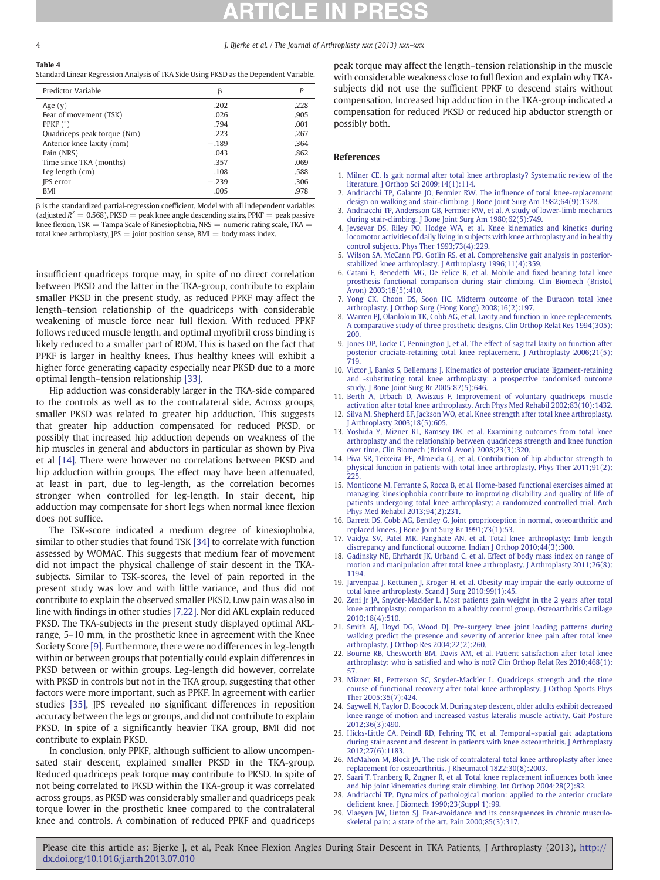# <span id="page-3-0"></span>Table 4

Standard Linear Regression Analysis of TKA Side Using PKSD as the Dependent Variable.

| Predictor Variable          | ß       |      |
|-----------------------------|---------|------|
| Age $(y)$                   | .202    | .228 |
| Fear of movement (TSK)      | .026    | .905 |
| PPKF (°)                    | .794    | .001 |
| Quadriceps peak torque (Nm) | .223    | .267 |
| Anterior knee laxity (mm)   | $-.189$ | .364 |
| Pain (NRS)                  | .043    | .862 |
| Time since TKA (months)     | .357    | .069 |
| Leg length $(cm)$           | .108    | .588 |
| <b>IPS</b> error            | $-.239$ | .306 |
| <b>BMI</b>                  | .005    | .978 |

β is the standardized partial-regression coefficient. Model with all independent variables (adjusted  $R^2 = 0.568$ ), PKSD = peak knee angle descending stairs, PPKF = peak passive knee flexion, TSK = Tampa Scale of Kinesiophobia, NRS = numeric rating scale, TKA = total knee arthroplasty, JPS = joint position sense, BMI = body mass index.

insufficient quadriceps torque may, in spite of no direct correlation between PKSD and the latter in the TKA-group, contribute to explain smaller PKSD in the present study, as reduced PPKF may affect the length–tension relationship of the quadriceps with considerable weakening of muscle force near full flexion. With reduced PPKF follows reduced muscle length, and optimal myofibril cross binding is likely reduced to a smaller part of ROM. This is based on the fact that PPKF is larger in healthy knees. Thus healthy knees will exhibit a higher force generating capacity especially near PKSD due to a more optimal length–tension relationship [\[33\].](#page-4-0)

Hip adduction was considerably larger in the TKA-side compared to the controls as well as to the contralateral side. Across groups, smaller PKSD was related to greater hip adduction. This suggests that greater hip adduction compensated for reduced PKSD, or possibly that increased hip adduction depends on weakness of the hip muscles in general and abductors in particular as shown by Piva et al [14]. There were however no correlations between PKSD and hip adduction within groups. The effect may have been attenuated, at least in part, due to leg-length, as the correlation becomes stronger when controlled for leg-length. In stair decent, hip adduction may compensate for short legs when normal knee flexion does not suffice.

The TSK-score indicated a medium degree of kinesiophobia, similar to other studies that found TSK [\[34\]](#page-4-0) to correlate with function assessed by WOMAC. This suggests that medium fear of movement did not impact the physical challenge of stair descent in the TKAsubjects. Similar to TSK-scores, the level of pain reported in the present study was low and with little variance, and thus did not contribute to explain the observed smaller PKSD. Low pain was also in line with findings in other studies [7,22]. Nor did AKL explain reduced PKSD. The TKA-subjects in the present study displayed optimal AKLrange, 5–10 mm, in the prosthetic knee in agreement with the Knee Society Score [9]. Furthermore, there were no differences in leg-length within or between groups that potentially could explain differences in PKSD between or within groups. Leg-length did however, correlate with PKSD in controls but not in the TKA group, suggesting that other factors were more important, such as PPKF. In agreement with earlier studies [\[35\]](#page-4-0), JPS revealed no significant differences in reposition accuracy between the legs or groups, and did not contribute to explain PKSD. In spite of a significantly heavier TKA group, BMI did not contribute to explain PKSD.

In conclusion, only PPKF, although sufficient to allow uncompensated stair descent, explained smaller PKSD in the TKA-group. Reduced quadriceps peak torque may contribute to PKSD. In spite of not being correlated to PKSD within the TKA-group it was correlated across groups, as PKSD was considerably smaller and quadriceps peak torque lower in the prosthetic knee compared to the contralateral knee and controls. A combination of reduced PPKF and quadriceps peak torque may affect the length–tension relationship in the muscle with considerable weakness close to full flexion and explain why TKAsubjects did not use the sufficient PPKF to descend stairs without compensation. Increased hip adduction in the TKA-group indicated a compensation for reduced PKSD or reduced hip abductor strength or possibly both.

### References

- 1. [Milner CE. Is gait normal after total knee arthroplasty? Systematic review of the](http://refhub.elsevier.com/S0883-5403(13)00514-7/rf0005) [literature. J Orthop Sci 2009;14\(1\):114.](http://refhub.elsevier.com/S0883-5403(13)00514-7/rf0005)
- 2. [Andriacchi TP, Galante JO, Fermier RW. The in](http://refhub.elsevier.com/S0883-5403(13)00514-7/rf0010)fluence of total knee-replacement [design on walking and stair-climbing. J Bone Joint Surg Am 1982;64\(9\):1328.](http://refhub.elsevier.com/S0883-5403(13)00514-7/rf0010)
- 3. [Andriacchi TP, Andersson GB, Fermier RW, et al. A study of lower-limb mechanics](http://refhub.elsevier.com/S0883-5403(13)00514-7/rf0015) [during stair-climbing. J Bone Joint Surg Am 1980;62\(5\):749.](http://refhub.elsevier.com/S0883-5403(13)00514-7/rf0015)
- 4. [Jevsevar DS, Riley PO, Hodge WA, et al. Knee kinematics and kinetics during](http://refhub.elsevier.com/S0883-5403(13)00514-7/rf0020) [locomotor activities of daily living in subjects with knee arthroplasty and in healthy](http://refhub.elsevier.com/S0883-5403(13)00514-7/rf0020) [control subjects. Phys Ther 1993;73\(4\):229.](http://refhub.elsevier.com/S0883-5403(13)00514-7/rf0020)
- 5. [Wilson SA, McCann PD, Gotlin RS, et al. Comprehensive gait analysis in posterior](http://refhub.elsevier.com/S0883-5403(13)00514-7/rf0025)[stabilized knee arthroplasty. J Arthroplasty 1996;11\(4\):359.](http://refhub.elsevier.com/S0883-5403(13)00514-7/rf0025)
- 6. [Catani F, Benedetti MG, De Felice R, et al. Mobile and](http://refhub.elsevier.com/S0883-5403(13)00514-7/rf0030) fixed bearing total knee [prosthesis functional comparison during stair climbing. Clin Biomech \(Bristol,](http://refhub.elsevier.com/S0883-5403(13)00514-7/rf0030) [Avon\) 2003;18\(5\):410.](http://refhub.elsevier.com/S0883-5403(13)00514-7/rf0030)
- 7. [Yong CK, Choon DS, Soon HC. Midterm outcome of the Duracon total knee](http://refhub.elsevier.com/S0883-5403(13)00514-7/rf0035) [arthroplasty. J Orthop Surg \(Hong Kong\) 2008;16\(2\):197.](http://refhub.elsevier.com/S0883-5403(13)00514-7/rf0035)
- 8. [Warren PJ, Olanlokun TK, Cobb AG, et al. Laxity and function in knee replacements.](http://refhub.elsevier.com/S0883-5403(13)00514-7/rf0040) [A comparative study of three prosthetic designs. Clin Orthop Relat Res 1994\(305\):](http://refhub.elsevier.com/S0883-5403(13)00514-7/rf0040) [200.](http://refhub.elsevier.com/S0883-5403(13)00514-7/rf0040)
- 9. [Jones DP, Locke C, Pennington J, et al. The effect of sagittal laxity on function after](http://refhub.elsevier.com/S0883-5403(13)00514-7/rf0045) [posterior cruciate-retaining total knee replacement. J Arthroplasty 2006;21\(5\):](http://refhub.elsevier.com/S0883-5403(13)00514-7/rf0045) [719.](http://refhub.elsevier.com/S0883-5403(13)00514-7/rf0045)
- 10. [Victor J, Banks S, Bellemans J. Kinematics of posterior cruciate ligament-retaining](http://refhub.elsevier.com/S0883-5403(13)00514-7/rf0050) [and -substituting total knee arthroplasty: a prospective randomised outcome](http://refhub.elsevier.com/S0883-5403(13)00514-7/rf0050) [study. J Bone Joint Surg Br 2005;87\(5\):646.](http://refhub.elsevier.com/S0883-5403(13)00514-7/rf0050)
- 11. [Berth A, Urbach D, Awiszus F. Improvement of voluntary quadriceps muscle](http://refhub.elsevier.com/S0883-5403(13)00514-7/rf0055) [activation after total knee arthroplasty. Arch Phys Med Rehabil 2002;83\(10\):1432.](http://refhub.elsevier.com/S0883-5403(13)00514-7/rf0055)
- 12. [Silva M, Shepherd EF, Jackson WO, et al. Knee strength after total knee arthroplasty.](http://refhub.elsevier.com/S0883-5403(13)00514-7/rf0060) [J Arthroplasty 2003;18\(5\):605.](http://refhub.elsevier.com/S0883-5403(13)00514-7/rf0060)
- 13. [Yoshida Y, Mizner RL, Ramsey DK, et al. Examining outcomes from total knee](http://refhub.elsevier.com/S0883-5403(13)00514-7/rf0065) [arthroplasty and the relationship between quadriceps strength and knee function](http://refhub.elsevier.com/S0883-5403(13)00514-7/rf0065) [over time. Clin Biomech \(Bristol, Avon\) 2008;23\(3\):320.](http://refhub.elsevier.com/S0883-5403(13)00514-7/rf0065)
- 14. [Piva SR, Teixeira PE, Almeida GJ, et al. Contribution of hip abductor strength to](http://refhub.elsevier.com/S0883-5403(13)00514-7/rf0070) [physical function in patients with total knee arthroplasty. Phys Ther 2011;91\(2\):](http://refhub.elsevier.com/S0883-5403(13)00514-7/rf0070) [225.](http://refhub.elsevier.com/S0883-5403(13)00514-7/rf0070)
- 15. [Monticone M, Ferrante S, Rocca B, et al. Home-based functional exercises aimed at](http://refhub.elsevier.com/S0883-5403(13)00514-7/rf0075) [managing kinesiophobia contribute to improving disability and quality of life of](http://refhub.elsevier.com/S0883-5403(13)00514-7/rf0075) [patients undergoing total knee arthroplasty: a randomized controlled trial. Arch](http://refhub.elsevier.com/S0883-5403(13)00514-7/rf0075) [Phys Med Rehabil 2013;94\(2\):231.](http://refhub.elsevier.com/S0883-5403(13)00514-7/rf0075)
- 16. [Barrett DS, Cobb AG, Bentley G. Joint proprioception in normal, osteoarthritic and](http://refhub.elsevier.com/S0883-5403(13)00514-7/rf0080) [replaced knees. J Bone Joint Surg Br 1991;73\(1\):53.](http://refhub.elsevier.com/S0883-5403(13)00514-7/rf0080)
- 17. [Vaidya SV, Patel MR, Panghate AN, et al. Total knee arthroplasty: limb length](http://refhub.elsevier.com/S0883-5403(13)00514-7/rf0085) [discrepancy and functional outcome. Indian J Orthop 2010;44\(3\):300.](http://refhub.elsevier.com/S0883-5403(13)00514-7/rf0085)
- 18. [Gadinsky NE, Ehrhardt JK, Urband C, et al. Effect of body mass index on range of](http://refhub.elsevier.com/S0883-5403(13)00514-7/rf0090) [motion and manipulation after total knee arthroplasty. J Arthroplasty 2011;26\(8\):](http://refhub.elsevier.com/S0883-5403(13)00514-7/rf0090) [1194.](http://refhub.elsevier.com/S0883-5403(13)00514-7/rf0090)
- 19. [Jarvenpaa J, Kettunen J, Kroger H, et al. Obesity may impair the early outcome of](http://refhub.elsevier.com/S0883-5403(13)00514-7/rf0095) total knee arthroplasty. Scand J Surg 2010;99(1):45
- 20. [Zeni Jr JA, Snyder-Mackler L. Most patients gain weight in the 2 years after total](http://refhub.elsevier.com/S0883-5403(13)00514-7/rf0100) [knee arthroplasty: comparison to a healthy control group. Osteoarthritis Cartilage](http://refhub.elsevier.com/S0883-5403(13)00514-7/rf0100) [2010;18\(4\):510.](http://refhub.elsevier.com/S0883-5403(13)00514-7/rf0100)
- 21. [Smith AJ, Lloyd DG, Wood DJ. Pre-surgery knee joint loading patterns during](http://refhub.elsevier.com/S0883-5403(13)00514-7/rf0105) [walking predict the presence and severity of anterior knee pain after total knee](http://refhub.elsevier.com/S0883-5403(13)00514-7/rf0105) [arthroplasty. J Orthop Res 2004;22\(2\):260.](http://refhub.elsevier.com/S0883-5403(13)00514-7/rf0105)
- 22. [Bourne RB, Chesworth BM, Davis AM, et al. Patient satisfaction after total knee](http://refhub.elsevier.com/S0883-5403(13)00514-7/rf0110) arthroplasty: who is satisfi[ed and who is not? Clin Orthop Relat Res 2010;468\(1\):](http://refhub.elsevier.com/S0883-5403(13)00514-7/rf0110) [57.](http://refhub.elsevier.com/S0883-5403(13)00514-7/rf0110)
- 23. [Mizner RL, Petterson SC, Snyder-Mackler L. Quadriceps strength and the time](http://refhub.elsevier.com/S0883-5403(13)00514-7/rf0115) [course of functional recovery after total knee arthroplasty. J Orthop Sports Phys](http://refhub.elsevier.com/S0883-5403(13)00514-7/rf0115) [Ther 2005;35\(7\):424.](http://refhub.elsevier.com/S0883-5403(13)00514-7/rf0115)
- 24. [Saywell N, Taylor D, Boocock M. During step descent, older adults exhibit decreased](http://refhub.elsevier.com/S0883-5403(13)00514-7/rf0120) [knee range of motion and increased vastus lateralis muscle activity. Gait Posture](http://refhub.elsevier.com/S0883-5403(13)00514-7/rf0120) [2012;36\(3\):490.](http://refhub.elsevier.com/S0883-5403(13)00514-7/rf0120)
- 25. [Hicks-Little CA, Peindl RD, Fehring TK, et al. Temporal](http://refhub.elsevier.com/S0883-5403(13)00514-7/rf0125)–spatial gait adaptations [during stair ascent and descent in patients with knee osteoarthritis. J Arthroplasty](http://refhub.elsevier.com/S0883-5403(13)00514-7/rf0125) [2012;27\(6\):1183.](http://refhub.elsevier.com/S0883-5403(13)00514-7/rf0125)
- 26. [McMahon M, Block JA. The risk of contralateral total knee arthroplasty after knee](http://refhub.elsevier.com/S0883-5403(13)00514-7/rf0130) [replacement for osteoarthritis. J Rheumatol 1822;30\(8\):2003.](http://refhub.elsevier.com/S0883-5403(13)00514-7/rf0130)
- 27. [Saari T, Tranberg R, Zugner R, et al. Total knee replacement in](http://refhub.elsevier.com/S0883-5403(13)00514-7/rf0135)fluences both knee [and hip joint kinematics during stair climbing. Int Orthop 2004;28\(2\):82.](http://refhub.elsevier.com/S0883-5403(13)00514-7/rf0135)
- 28. [Andriacchi TP. Dynamics of pathological motion: applied to the anterior cruciate](http://refhub.elsevier.com/S0883-5403(13)00514-7/rf0140) defi[cient knee. J Biomech 1990;23\(Suppl 1\):99.](http://refhub.elsevier.com/S0883-5403(13)00514-7/rf0140)
- 29. [Vlaeyen JW, Linton SJ. Fear-avoidance and its consequences in chronic musculo](http://refhub.elsevier.com/S0883-5403(13)00514-7/rf0145)[skeletal pain: a state of the art. Pain 2000;85\(3\):317.](http://refhub.elsevier.com/S0883-5403(13)00514-7/rf0145)

Please cite this article as: Bjerke J, et al, Peak Knee Flexion Angles During Stair Descent in TKA Patients, J Arthroplasty (2013), [http://](http://dx.doi.org/10.1016/j.arth.2013.07.010) [dx.doi.org/10.1016/j.arth.2013.07.010](http://dx.doi.org/10.1016/j.arth.2013.07.010)